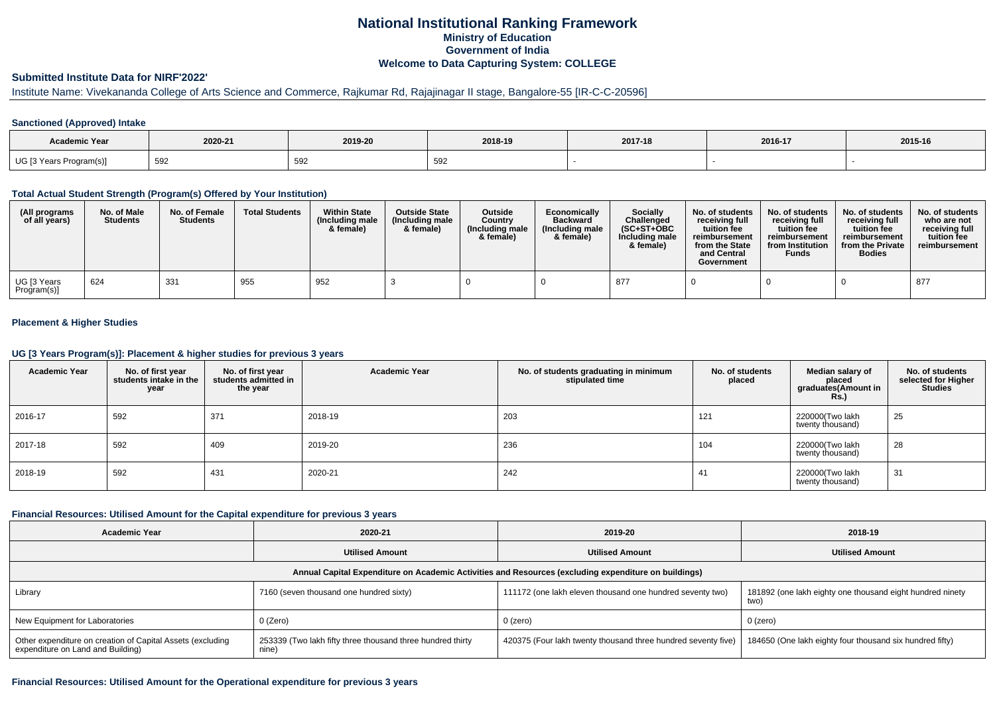### **National Institutional Ranking FrameworkMinistry of Education Government of IndiaWelcome to Data Capturing System: COLLEGE**

## **Submitted Institute Data for NIRF'2022'**

## Institute Name: Vivekananda College of Arts Science and Commerce, Rajkumar Rd, Rajajinagar II stage, Bangalore-55 [IR-C-C-20596]

### **Sanctioned (Approved) Intake**

| Academic Year           |         |         |               |         |         |         |
|-------------------------|---------|---------|---------------|---------|---------|---------|
|                         | 2020-21 | 2019-20 | 2018-19       | 2017-18 | 2016-17 | 2015-16 |
| UG [3 Years Program(s)] | 592     | 592     | $\sim$<br>ບອ∠ |         |         |         |

### **Total Actual Student Strength (Program(s) Offered by Your Institution)**

| (All programs<br>of all years) | No. of Male<br><b>Students</b> | No. of Female<br><b>Students</b> | <b>Total Students</b> | <b>Within State</b><br>(Including male<br>& female) | <b>Outside State</b><br>(Including male<br>& female) | Outside<br>Country<br>(Including male<br>& female) | Economically<br><b>Backward</b><br>(Including male<br>& female) | <b>Socially</b><br>Challenged<br>$(SC+ST+OBC$<br>Including male<br>& female) | No. of students<br>receivina full<br>tuition fee<br>reimbursement<br>from the State<br>and Central<br>Government | No. of students<br>receiving full<br>tuition fee<br>reimbursement<br>from Institution<br><b>Funds</b> | No. of students<br>receiving full<br>tuition fee<br>reimbursement<br>from the Private<br><b>Bodies</b> | No. of students  <br>who are not<br>receivina full<br>tuition fee<br>reimbursement |
|--------------------------------|--------------------------------|----------------------------------|-----------------------|-----------------------------------------------------|------------------------------------------------------|----------------------------------------------------|-----------------------------------------------------------------|------------------------------------------------------------------------------|------------------------------------------------------------------------------------------------------------------|-------------------------------------------------------------------------------------------------------|--------------------------------------------------------------------------------------------------------|------------------------------------------------------------------------------------|
| UG [3 Years<br>Program(s)]     | 624                            | 331                              | 955                   | 952                                                 |                                                      |                                                    |                                                                 | 877                                                                          |                                                                                                                  |                                                                                                       |                                                                                                        | 877                                                                                |

### **Placement & Higher Studies**

#### **UG [3 Years Program(s)]: Placement & higher studies for previous 3 years**

| <b>Academic Year</b> | No. of first year<br>students intake in the<br>year | No. of first year<br>students admitted in<br>the year | <b>Academic Year</b> | No. of students graduating in minimum<br>stipulated time | No. of students<br>placed | Median salary of<br>placed<br>graduates(Amount in<br><b>Rs.)</b> | No. of students<br>selected for Higher<br><b>Studies</b> |
|----------------------|-----------------------------------------------------|-------------------------------------------------------|----------------------|----------------------------------------------------------|---------------------------|------------------------------------------------------------------|----------------------------------------------------------|
| 2016-17              | 592                                                 | 371                                                   | 2018-19              | 203                                                      | 121                       | 220000(Two lakh<br>twenty thousand)                              | 25                                                       |
| 2017-18              | 592                                                 | 409                                                   | 2019-20              | 236                                                      | 104                       | 220000(Two lakh<br>twenty thousand)                              | 28                                                       |
| 2018-19              | 592                                                 | 431                                                   | 2020-21              | 242                                                      | 41                        | 220000(Two lakh<br>twenty thousand)                              | 31                                                       |

#### **Financial Resources: Utilised Amount for the Capital expenditure for previous 3 years**

| Academic Year                                                                                        | 2020-21                                                             | 2019-20                                                       | 2018-19                                                           |  |  |  |  |  |  |
|------------------------------------------------------------------------------------------------------|---------------------------------------------------------------------|---------------------------------------------------------------|-------------------------------------------------------------------|--|--|--|--|--|--|
|                                                                                                      | <b>Utilised Amount</b>                                              | <b>Utilised Amount</b>                                        | <b>Utilised Amount</b>                                            |  |  |  |  |  |  |
| Annual Capital Expenditure on Academic Activities and Resources (excluding expenditure on buildings) |                                                                     |                                                               |                                                                   |  |  |  |  |  |  |
| Library                                                                                              | 7160 (seven thousand one hundred sixty)                             | 111172 (one lakh eleven thousand one hundred seventy two)     | 181892 (one lakh eighty one thousand eight hundred ninety<br>two) |  |  |  |  |  |  |
| New Equipment for Laboratories                                                                       | 0 (Zero)                                                            | 0 (zero)                                                      | 0 (zero)                                                          |  |  |  |  |  |  |
| Other expenditure on creation of Capital Assets (excluding<br>expenditure on Land and Building)      | 253339 (Two lakh fifty three thousand three hundred thirty<br>nine) | 420375 (Four lakh twenty thousand three hundred seventy five) | 184650 (One lakh eighty four thousand six hundred fifty)          |  |  |  |  |  |  |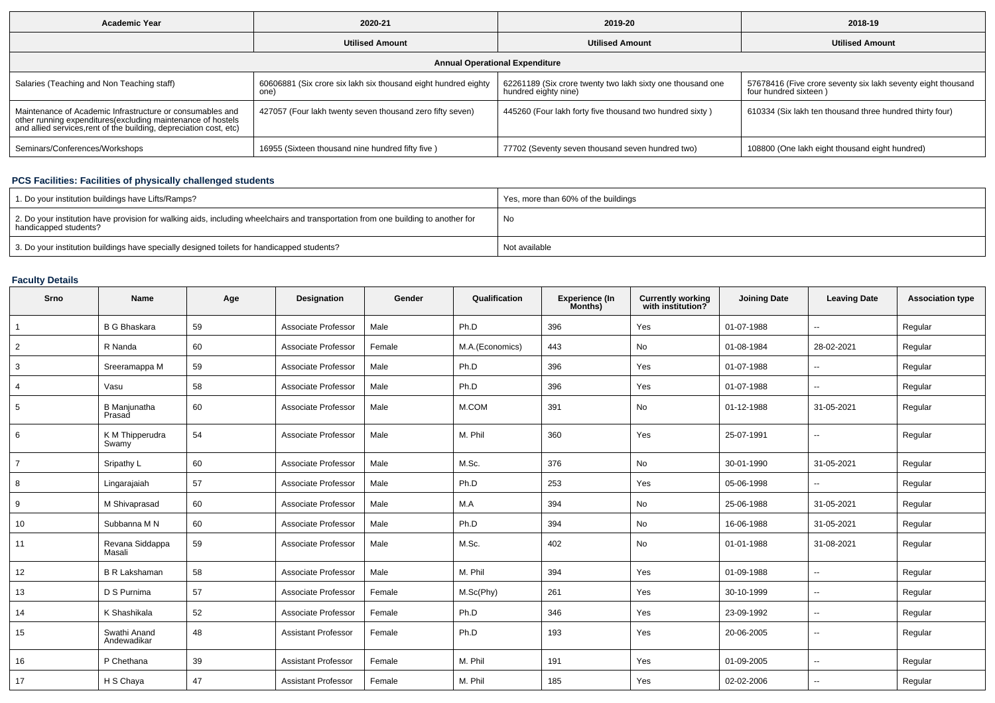| <b>Academic Year</b>                                                                                                                                                                            | 2020-21                                                               | 2019-20                                                                            | 2018-19                                                                               |  |  |  |  |  |  |
|-------------------------------------------------------------------------------------------------------------------------------------------------------------------------------------------------|-----------------------------------------------------------------------|------------------------------------------------------------------------------------|---------------------------------------------------------------------------------------|--|--|--|--|--|--|
|                                                                                                                                                                                                 | <b>Utilised Amount</b>                                                | <b>Utilised Amount</b>                                                             | <b>Utilised Amount</b>                                                                |  |  |  |  |  |  |
| <b>Annual Operational Expenditure</b>                                                                                                                                                           |                                                                       |                                                                                    |                                                                                       |  |  |  |  |  |  |
| Salaries (Teaching and Non Teaching staff)                                                                                                                                                      | 60606881 (Six crore six lakh six thousand eight hundred eighty<br>one | 62261189 (Six crore twenty two lakh sixty one thousand one<br>hundred eighty nine) | 57678416 (Five crore seventy six lakh seventy eight thousand<br>four hundred sixteen) |  |  |  |  |  |  |
| Maintenance of Academic Infrastructure or consumables and<br>other running expenditures (excluding maintenance of hostels<br>and allied services, rent of the building, depreciation cost, etc) | 427057 (Four lakh twenty seven thousand zero fifty seven)             | 445260 (Four lakh forty five thousand two hundred sixty)                           | 610334 (Six lakh ten thousand three hundred thirty four)                              |  |  |  |  |  |  |
| Seminars/Conferences/Workshops                                                                                                                                                                  | 16955 (Sixteen thousand nine hundred fifty five)                      | 77702 (Seventy seven thousand seven hundred two)                                   | 108800 (One lakh eight thousand eight hundred)                                        |  |  |  |  |  |  |

# **PCS Facilities: Facilities of physically challenged students**

| 1. Do your institution buildings have Lifts/Ramps?                                                                                                         | Yes, more than 60% of the buildings |
|------------------------------------------------------------------------------------------------------------------------------------------------------------|-------------------------------------|
| 2. Do your institution have provision for walking aids, including wheelchairs and transportation from one building to another for<br>handicapped students? | No                                  |
| 3. Do your institution buildings have specially designed toilets for handicapped students?                                                                 | Not available                       |

# **Faculty Details**

| Srno           | <b>Name</b>                   | Age | <b>Designation</b>         | Gender | Qualification   | <b>Experience (In</b><br>Months) | <b>Currently working</b><br>with institution? | <b>Joining Date</b> | <b>Leaving Date</b>      | <b>Association type</b> |
|----------------|-------------------------------|-----|----------------------------|--------|-----------------|----------------------------------|-----------------------------------------------|---------------------|--------------------------|-------------------------|
| $\overline{1}$ | <b>B G Bhaskara</b>           | 59  | Associate Professor        | Male   | Ph.D            | 396                              | Yes                                           | 01-07-1988          | ۰.                       | Regular                 |
| $\overline{2}$ | R Nanda                       | 60  | Associate Professor        | Female | M.A.(Economics) | 443                              | No                                            | 01-08-1984          | 28-02-2021               | Regular                 |
| 3              | Sreeramappa M                 | 59  | Associate Professor        | Male   | Ph.D            | 396                              | Yes                                           | 01-07-1988          | $\overline{\phantom{a}}$ | Regular                 |
| $\overline{4}$ | Vasu                          | 58  | Associate Professor        | Male   | Ph.D            | 396                              | Yes                                           | 01-07-1988          | $\overline{\phantom{a}}$ | Regular                 |
| 5              | <b>B</b> Manjunatha<br>Prasad | 60  | Associate Professor        | Male   | M.COM           | 391                              | No                                            | 01-12-1988          | 31-05-2021               | Regular                 |
| 6              | K M Thipperudra<br>Swamy      | 54  | Associate Professor        | Male   | M. Phil         | 360                              | Yes                                           | 25-07-1991          | $\sim$                   | Regular                 |
| $\overline{7}$ | Sripathy L                    | 60  | Associate Professor        | Male   | M.Sc.           | 376                              | No                                            | 30-01-1990          | 31-05-2021               | Regular                 |
| 8              | Lingarajaiah                  | 57  | Associate Professor        | Male   | Ph.D            | 253                              | Yes                                           | 05-06-1998          | $\overline{\phantom{a}}$ | Regular                 |
| 9              | M Shivaprasad                 | 60  | Associate Professor        | Male   | M.A             | 394                              | No                                            | 25-06-1988          | 31-05-2021               | Regular                 |
| 10             | Subbanna M N                  | 60  | Associate Professor        | Male   | Ph.D            | 394                              | No                                            | 16-06-1988          | 31-05-2021               | Regular                 |
| 11             | Revana Siddappa<br>Masali     | 59  | Associate Professor        | Male   | M.Sc.           | 402                              | No                                            | 01-01-1988          | 31-08-2021               | Regular                 |
| 12             | <b>B R Lakshaman</b>          | 58  | Associate Professor        | Male   | M. Phil         | 394                              | Yes                                           | 01-09-1988          | $\overline{\phantom{a}}$ | Regular                 |
| 13             | D S Purnima                   | 57  | Associate Professor        | Female | M.Sc(Phy)       | 261                              | Yes                                           | 30-10-1999          | $\overline{\phantom{a}}$ | Regular                 |
| 14             | K Shashikala                  | 52  | Associate Professor        | Female | Ph.D            | 346                              | Yes                                           | 23-09-1992          | $\overline{\phantom{a}}$ | Regular                 |
| 15             | Swathi Anand<br>Andewadikar   | 48  | <b>Assistant Professor</b> | Female | Ph.D            | 193                              | Yes                                           | 20-06-2005          | $-$                      | Regular                 |
| 16             | P Chethana                    | 39  | <b>Assistant Professor</b> | Female | M. Phil         | 191                              | Yes                                           | 01-09-2005          | $\overline{a}$           | Regular                 |
| 17             | H S Chaya                     | 47  | <b>Assistant Professor</b> | Female | M. Phil         | 185                              | Yes                                           | 02-02-2006          | $\overline{\phantom{a}}$ | Regular                 |